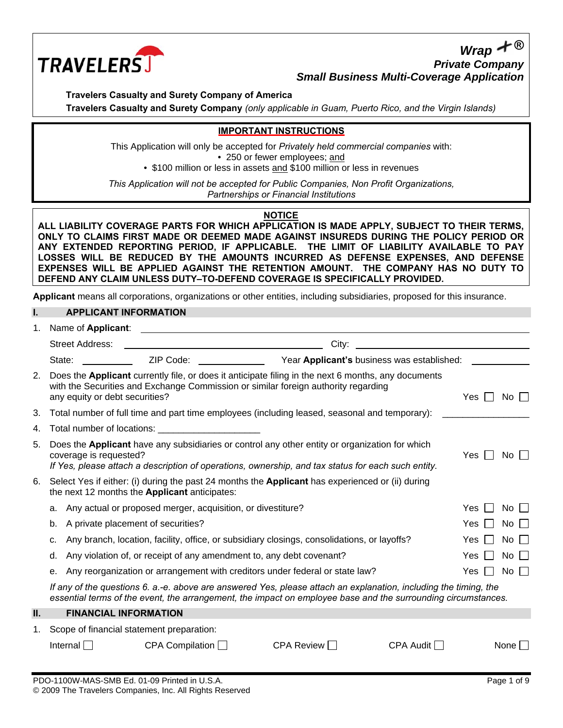

*Wrap* **®** *Private Company Small Business Multi-Coverage Application*

**Travelers Casualty and Surety Company of America**

**Travelers Casualty and Surety Company** *(only applicable in Guam, Puerto Rico, and the Virgin Islands)*

### **IMPORTANT INSTRUCTIONS**

This Application will only be accepted for *Privately held commercial companies* with: • 250 or fewer employees; and • \$100 million or less in assets and \$100 million or less in revenues

*This Application will not be accepted for Public Companies, Non Profit Organizations, Partnerships or Financial Institutions* 

## **NOTICE**

**ALL LIABILITY COVERAGE PARTS FOR WHICH APPLICATION IS MADE APPLY, SUBJECT TO THEIR TERMS, ONLY TO CLAIMS FIRST MADE OR DEEMED MADE AGAINST INSUREDS DURING THE POLICY PERIOD OR ANY EXTENDED REPORTING PERIOD, IF APPLICABLE. THE LIMIT OF LIABILITY AVAILABLE TO PAY LOSSES WILL BE REDUCED BY THE AMOUNTS INCURRED AS DEFENSE EXPENSES, AND DEFENSE EXPENSES WILL BE APPLIED AGAINST THE RETENTION AMOUNT. THE COMPANY HAS NO DUTY TO DEFEND ANY CLAIM UNLESS DUTY–TO-DEFEND COVERAGE IS SPECIFICALLY PROVIDED.** 

**Applicant** means all corporations, organizations or other entities, including subsidiaries, proposed for this insurance.

### **I. APPLICANT INFORMATION**

| 1. | Name of Applicant:                                                                 |                                                                                                                                                                                                                                |                                                                                                                                                                                                                                   |                                                                                                                                              |            |                      |
|----|------------------------------------------------------------------------------------|--------------------------------------------------------------------------------------------------------------------------------------------------------------------------------------------------------------------------------|-----------------------------------------------------------------------------------------------------------------------------------------------------------------------------------------------------------------------------------|----------------------------------------------------------------------------------------------------------------------------------------------|------------|----------------------|
|    | <b>Street Address:</b>                                                             |                                                                                                                                                                                                                                | City:                                                                                                                                                                                                                             | <u> 1980 - Jan Samuel Barbara, margaret e</u> n 1980 eta 1980 - Antonio II.a (h. 1910).<br>1980 - Johann Stein, frantziar idazlea (h. 1910). |            |                      |
|    | State:                                                                             | ZIP Code: The Code Service of the Code Service of the Code Service of the Code Service of the Code Service of the Code Service of the Code Service of the Code Service of the Code Service of the Code Service of the Code Ser |                                                                                                                                                                                                                                   | Year Applicant's business was established:                                                                                                   |            |                      |
| 2. | any equity or debt securities?                                                     |                                                                                                                                                                                                                                | Does the Applicant currently file, or does it anticipate filing in the next 6 months, any documents<br>with the Securities and Exchange Commission or similar foreign authority regarding                                         |                                                                                                                                              | Yes        | $No$ $\Box$          |
| 3. |                                                                                    |                                                                                                                                                                                                                                | Total number of full time and part time employees (including leased, seasonal and temporary):                                                                                                                                     |                                                                                                                                              |            |                      |
| 4. |                                                                                    | Total number of locations: Total number of locations:                                                                                                                                                                          |                                                                                                                                                                                                                                   |                                                                                                                                              |            |                      |
| 5. | coverage is requested?                                                             |                                                                                                                                                                                                                                | Does the Applicant have any subsidiaries or control any other entity or organization for which<br>If Yes, please attach a description of operations, ownership, and tax status for each such entity.                              |                                                                                                                                              | Yes        | $No$ $\Box$          |
| 6. |                                                                                    | the next 12 months the <b>Applicant</b> anticipates:                                                                                                                                                                           | Select Yes if either: (i) during the past 24 months the Applicant has experienced or (ii) during                                                                                                                                  |                                                                                                                                              |            |                      |
|    | а.                                                                                 | Any actual or proposed merger, acquisition, or divestiture?                                                                                                                                                                    |                                                                                                                                                                                                                                   |                                                                                                                                              | Yes        | $No$ $\Box$          |
|    | A private placement of securities?<br>b.                                           |                                                                                                                                                                                                                                |                                                                                                                                                                                                                                   |                                                                                                                                              | Yes.       | No I                 |
|    | c.                                                                                 |                                                                                                                                                                                                                                | Any branch, location, facility, office, or subsidiary closings, consolidations, or layoffs?                                                                                                                                       |                                                                                                                                              | Yes        | No                   |
|    | d.                                                                                 | Any violation of, or receipt of any amendment to, any debt covenant?                                                                                                                                                           |                                                                                                                                                                                                                                   |                                                                                                                                              | <b>Yes</b> | $No$ $\vert \ \vert$ |
|    | Any reorganization or arrangement with creditors under federal or state law?<br>е. | Yes                                                                                                                                                                                                                            | No $\Box$                                                                                                                                                                                                                         |                                                                                                                                              |            |                      |
|    |                                                                                    |                                                                                                                                                                                                                                | If any of the questions 6. a.-e. above are answered Yes, please attach an explanation, including the timing, the<br>essential terms of the event, the arrangement, the impact on employee base and the surrounding circumstances. |                                                                                                                                              |            |                      |
| Ш. | <b>FINANCIAL INFORMATION</b>                                                       |                                                                                                                                                                                                                                |                                                                                                                                                                                                                                   |                                                                                                                                              |            |                      |
| 1. | Scope of financial statement preparation:                                          |                                                                                                                                                                                                                                |                                                                                                                                                                                                                                   |                                                                                                                                              |            |                      |
|    | Internal $\Box$                                                                    | CPA Compilation $\Box$                                                                                                                                                                                                         | $CPA$ Review $\Box$                                                                                                                                                                                                               | $CPA$ Audit $\Box$                                                                                                                           |            | None                 |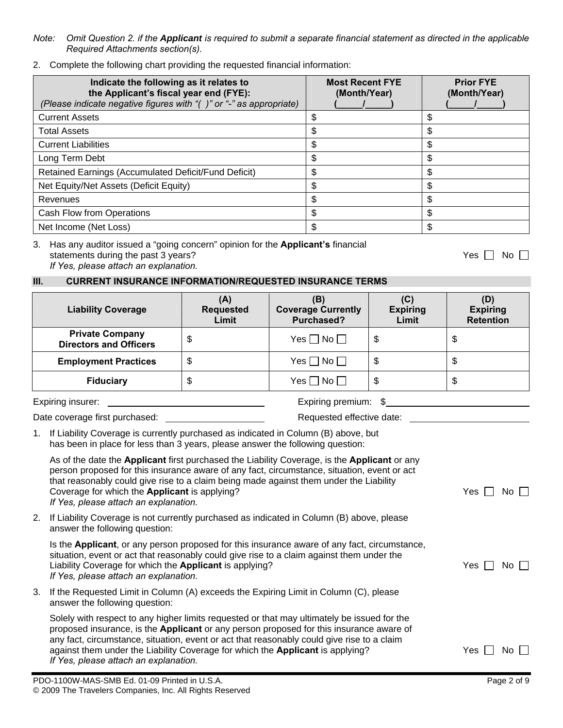*If Yes, please attach an explanation.*

*Required Attachments section(s).*

2. Complete the following chart providing the requested financial information:

| Indicate the following as it relates to<br>the Applicant's fiscal year end (FYE):<br>(Please indicate negative figures with "()" or "-" as appropriate) | <b>Most Recent FYE</b><br>(Month/Year) | <b>Prior FYE</b><br>(Month/Year) |
|---------------------------------------------------------------------------------------------------------------------------------------------------------|----------------------------------------|----------------------------------|
| <b>Current Assets</b>                                                                                                                                   | \$                                     |                                  |
| <b>Total Assets</b>                                                                                                                                     | \$                                     | \$                               |
| <b>Current Liabilities</b>                                                                                                                              | \$                                     |                                  |
| Long Term Debt                                                                                                                                          | \$                                     |                                  |
| Retained Earnings (Accumulated Deficit/Fund Deficit)                                                                                                    | \$                                     | S                                |
| Net Equity/Net Assets (Deficit Equity)                                                                                                                  | \$                                     | \$                               |
| Revenues                                                                                                                                                | \$                                     | \$                               |
| <b>Cash Flow from Operations</b>                                                                                                                        | \$                                     | S.                               |
| Net Income (Net Loss)                                                                                                                                   | \$                                     |                                  |

*Note: Omit Question 2. if the Applicant is required to submit a separate financial statement as directed in the applicable* 

3. Has any auditor issued a "going concern" opinion for the **Applicant's** financial statements during the past 3 years? The statements during the past 3 years? *If Yes, please attach an explanation.* 

# **III. CURRENT INSURANCE INFORMATION/REQUESTED INSURANCE TERMS**

| <b>Liability Coverage</b>      |                                                                                                                                                                                                                                                                                                                                                                                        | (A)<br><b>Requested</b><br>Limit | (B)<br><b>Coverage Currently</b><br><b>Purchased?</b> | (C)<br><b>Expiring</b><br>Limit | (D)<br><b>Expiring</b><br><b>Retention</b> |
|--------------------------------|----------------------------------------------------------------------------------------------------------------------------------------------------------------------------------------------------------------------------------------------------------------------------------------------------------------------------------------------------------------------------------------|----------------------------------|-------------------------------------------------------|---------------------------------|--------------------------------------------|
|                                | <b>Private Company</b><br><b>Directors and Officers</b>                                                                                                                                                                                                                                                                                                                                | \$                               | Yes $\Box$ No $\Box$                                  | \$                              | \$                                         |
|                                | <b>Employment Practices</b>                                                                                                                                                                                                                                                                                                                                                            | \$                               | Yes $\Box$ No $\Box$                                  | \$                              | \$                                         |
|                                | <b>Fiduciary</b>                                                                                                                                                                                                                                                                                                                                                                       | \$                               | Yes $\Box$ No $\Box$                                  | $\boldsymbol{\mathsf{S}}$       | \$                                         |
| Expiring insurer:              |                                                                                                                                                                                                                                                                                                                                                                                        |                                  | Expiring premium:                                     |                                 |                                            |
| Date coverage first purchased: |                                                                                                                                                                                                                                                                                                                                                                                        |                                  | Requested effective date:                             |                                 |                                            |
|                                | 1. If Liability Coverage is currently purchased as indicated in Column (B) above, but<br>has been in place for less than 3 years, please answer the following question:                                                                                                                                                                                                                |                                  |                                                       |                                 |                                            |
|                                | As of the date the Applicant first purchased the Liability Coverage, is the Applicant or any<br>person proposed for this insurance aware of any fact, circumstance, situation, event or act<br>that reasonably could give rise to a claim being made against them under the Liability<br>Coverage for which the <b>Applicant</b> is applying?<br>If Yes, please attach an explanation. |                                  | Yes<br>No                                             |                                 |                                            |
| 2.                             | If Liability Coverage is not currently purchased as indicated in Column (B) above, please<br>answer the following question:                                                                                                                                                                                                                                                            |                                  |                                                       |                                 |                                            |
|                                | Is the Applicant, or any person proposed for this insurance aware of any fact, circumstance,<br>situation, event or act that reasonably could give rise to a claim against them under the<br>Liability Coverage for which the Applicant is applying?<br>If Yes, please attach an explanation.                                                                                          |                                  | Yes<br>No                                             |                                 |                                            |
| 3.                             | If the Requested Limit in Column (A) exceeds the Expiring Limit in Column (C), please<br>answer the following question:                                                                                                                                                                                                                                                                |                                  |                                                       |                                 |                                            |
|                                | Solely with respect to any higher limits requested or that may ultimately be issued for the<br>proposed insurance, is the Applicant or any person proposed for this insurance aware of<br>any fact, circumstance, situation, event or act that reasonably could give rise to a claim<br>against them under the Liability Coverage for which the Applicant is applying?                 |                                  |                                                       |                                 | <b>Yes</b><br>No.                          |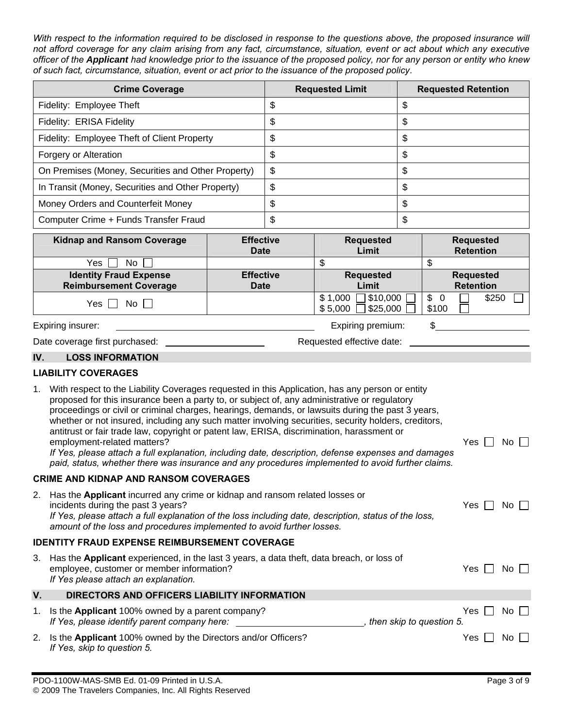*With respect to the information required to be disclosed in response to the questions above, the proposed insurance will not afford coverage for any claim arising from any fact, circumstance, situation, event or act about which any executive officer of the Applicant had knowledge prior to the issuance of the proposed policy, nor for any person or entity who knew of such fact, circumstance, situation, event or act prior to the issuance of the proposed policy*.

| <b>Crime Coverage</b>                              | <b>Requested Limit</b> | <b>Requested Retention</b> |
|----------------------------------------------------|------------------------|----------------------------|
| Fidelity: Employee Theft                           |                        |                            |
| Fidelity: ERISA Fidelity                           |                        |                            |
| Fidelity: Employee Theft of Client Property        | Φ                      | จ                          |
| Forgery or Alteration                              |                        | S                          |
| On Premises (Money, Securities and Other Property) | \$                     | S                          |
| In Transit (Money, Securities and Other Property)  | S                      | S                          |
| Money Orders and Counterfeit Money                 |                        |                            |
| Computer Crime + Funds Transfer Fraud              |                        |                            |

| <b>Kidnap and Ransom Coverage</b> | <b>Effective</b><br><b>Date</b>      | <b>Requested</b><br>Limit                            | <b>Requested</b><br><b>Retention</b> |  |  |  |
|-----------------------------------|--------------------------------------|------------------------------------------------------|--------------------------------------|--|--|--|
| Yes<br>No.                        |                                      |                                                      |                                      |  |  |  |
| <b>Identity Fraud Expense</b>     | <b>Effective</b><br><b>Requested</b> |                                                      | <b>Requested</b>                     |  |  |  |
| <b>Reimbursement Coverage</b>     | <b>Date</b>                          | Limit                                                | <b>Retention</b>                     |  |  |  |
| Yes l<br>No II                    |                                      | $$10,000$ [<br>\$1,000<br>$\Box$ \$25,000<br>\$5,000 | \$250<br>-S<br>-0<br>\$100           |  |  |  |
| Expiring insurer:                 |                                      | Expiring premium:                                    |                                      |  |  |  |

| Date coverage first purchased: | Requested effective date: |  |
|--------------------------------|---------------------------|--|
|                                |                           |  |

# **IV. LOSS INFORMATION**

# **LIABILITY COVERAGES**

| 1. | With respect to the Liability Coverages requested in this Application, has any person or entity<br>proposed for this insurance been a party to, or subject of, any administrative or regulatory<br>proceedings or civil or criminal charges, hearings, demands, or lawsuits during the past 3 years,<br>whether or not insured, including any such matter involving securities, security holders, creditors,<br>antitrust or fair trade law, copyright or patent law, ERISA, discrimination, harassment or |      |      |  |
|----|------------------------------------------------------------------------------------------------------------------------------------------------------------------------------------------------------------------------------------------------------------------------------------------------------------------------------------------------------------------------------------------------------------------------------------------------------------------------------------------------------------|------|------|--|
|    | employment-related matters?<br>If Yes, please attach a full explanation, including date, description, defense expenses and damages<br>paid, status, whether there was insurance and any procedures implemented to avoid further claims.                                                                                                                                                                                                                                                                    | Yes  | No.  |  |
|    | <b>CRIME AND KIDNAP AND RANSOM COVERAGES</b>                                                                                                                                                                                                                                                                                                                                                                                                                                                               |      |      |  |
| 2. | Has the Applicant incurred any crime or kidnap and ransom related losses or<br>incidents during the past 3 years?<br>If Yes, please attach a full explanation of the loss including date, description, status of the loss,<br>amount of the loss and procedures implemented to avoid further losses.                                                                                                                                                                                                       | Yes. | No l |  |
|    | <b>IDENTITY FRAUD EXPENSE REIMBURSEMENT COVERAGE</b>                                                                                                                                                                                                                                                                                                                                                                                                                                                       |      |      |  |
| 3. | Has the Applicant experienced, in the last 3 years, a data theft, data breach, or loss of<br>employee, customer or member information?<br>If Yes please attach an explanation.                                                                                                                                                                                                                                                                                                                             | Yes  | No l |  |
| V. | DIRECTORS AND OFFICERS LIABILITY INFORMATION                                                                                                                                                                                                                                                                                                                                                                                                                                                               |      |      |  |
| 1. | Is the Applicant 100% owned by a parent company?<br>If Yes, please identify parent company here:<br>, then skip to question 5.                                                                                                                                                                                                                                                                                                                                                                             | Yes  | No l |  |
| 2. | Is the Applicant 100% owned by the Directors and/or Officers?<br>If Yes, skip to question 5.                                                                                                                                                                                                                                                                                                                                                                                                               | Yes  | No.  |  |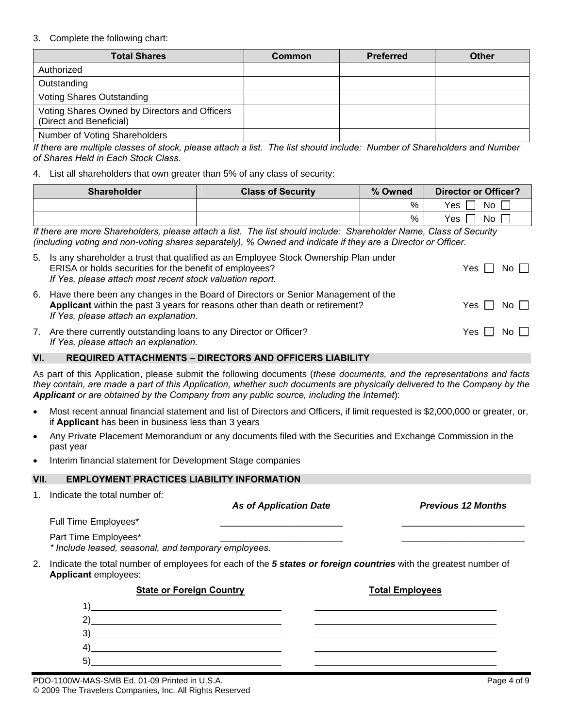# 3. Complete the following chart:

| <b>Total Shares</b>                                                      | Common | <b>Preferred</b> | <b>Other</b> |
|--------------------------------------------------------------------------|--------|------------------|--------------|
| Authorized                                                               |        |                  |              |
| Outstanding                                                              |        |                  |              |
| Voting Shares Outstanding                                                |        |                  |              |
| Voting Shares Owned by Directors and Officers<br>(Direct and Beneficial) |        |                  |              |
| Number of Voting Shareholders                                            |        |                  |              |

*If there are multiple classes of stock, please attach a list. The list should include: Number of Shareholders and Number of Shares Held in Each Stock Class.* 

## 4. List all shareholders that own greater than 5% of any class of security:

| <b>Shareholder</b>                                                                                                                                                                                                                                                     | <b>Class of Security</b> | % Owned | Director or Officer? |
|------------------------------------------------------------------------------------------------------------------------------------------------------------------------------------------------------------------------------------------------------------------------|--------------------------|---------|----------------------|
|                                                                                                                                                                                                                                                                        |                          | %       | Yes<br>No            |
|                                                                                                                                                                                                                                                                        |                          | %       | No<br>Yes            |
| If the company $\bigcap_{i=1}^n I_i$ is the late of the state of the late of the late of $\bigcap_{i=1}^n I_i$ is the company of $\bigcap_{i=1}^n I_i$ is the company of $\bigcap_{i=1}^n I_i$ is the company of $\bigcap_{i=1}^n I_i$ is the company of $\bigcap_{i=$ |                          |         |                      |

*If there are more Shareholders, please attach a list. The list should include: Shareholder Name, Class of Security (including voting and non-voting shares separately), % Owned and indicate if they are a Director or Officer.*

|    | 5. Is any shareholder a trust that qualified as an Employee Stock Ownership Plan under<br>ERISA or holds securities for the benefit of employees?<br>If Yes, please attach most recent stock valuation report. | Yes     No           |  |
|----|----------------------------------------------------------------------------------------------------------------------------------------------------------------------------------------------------------------|----------------------|--|
|    | 6. Have there been any changes in the Board of Directors or Senior Management of the<br>Applicant within the past 3 years for reasons other than death or retirement?<br>If Yes, please attach an explanation. | Yes I I No I I       |  |
| 7. | Are there currently outstanding loans to any Director or Officer?<br>If Yes, please attach an explanation.                                                                                                     | Yes $\Box$ No $\Box$ |  |

## **VI. REQUIRED ATTACHMENTS – DIRECTORS AND OFFICERS LIABILITY**

As part of this Application, please submit the following documents (*these documents, and the representations and facts they contain, are made a part of this Application, whether such documents are physically delivered to the Company by the Applicant or are obtained by the Company from any public source, including the Internet*):

- Most recent annual financial statement and list of Directors and Officers, if limit requested is \$2,000,000 or greater, or, if **Applicant** has been in business less than 3 years
- Any Private Placement Memorandum or any documents filed with the Securities and Exchange Commission in the past year
- Interim financial statement for Development Stage companies

## **EMPLOYMENT PRACTICES LIABILITY INFORMATION**

1. Indicate the total number of*:*

|    | indicate the total number of.                                                                                                                                                                                                                                                                                                                                                        | <b>As of Application Date</b> | <b>Previous 12 Months</b> |
|----|--------------------------------------------------------------------------------------------------------------------------------------------------------------------------------------------------------------------------------------------------------------------------------------------------------------------------------------------------------------------------------------|-------------------------------|---------------------------|
|    | Full Time Employees*                                                                                                                                                                                                                                                                                                                                                                 |                               |                           |
|    | Part Time Employees*<br>* Include leased, seasonal, and temporary employees.                                                                                                                                                                                                                                                                                                         |                               |                           |
| 2. | Indicate the total number of employees for each of the 5 states or foreign countries with the greatest number of<br>Applicant employees:                                                                                                                                                                                                                                             |                               |                           |
|    | <b>State or Foreign Country</b>                                                                                                                                                                                                                                                                                                                                                      |                               | <b>Total Employees</b>    |
|    | <u> 1989 - Johann Harry Harry Harry Harry Harry Harry Harry Harry Harry Harry Harry Harry Harry Harry Harry Harry</u>                                                                                                                                                                                                                                                                |                               |                           |
|    | $\overline{a}$ $\overline{a}$ $\overline{a}$ $\overline{a}$ $\overline{a}$ $\overline{a}$ $\overline{a}$ $\overline{a}$ $\overline{a}$ $\overline{a}$ $\overline{a}$ $\overline{a}$ $\overline{a}$ $\overline{a}$ $\overline{a}$ $\overline{a}$ $\overline{a}$ $\overline{a}$ $\overline{a}$ $\overline{a}$ $\overline{a}$ $\overline{a}$ $\overline{a}$ $\overline{a}$ $\overline{$ |                               |                           |
|    | 3)                                                                                                                                                                                                                                                                                                                                                                                   |                               |                           |
|    | 4)                                                                                                                                                                                                                                                                                                                                                                                   |                               |                           |
|    | 5)                                                                                                                                                                                                                                                                                                                                                                                   |                               |                           |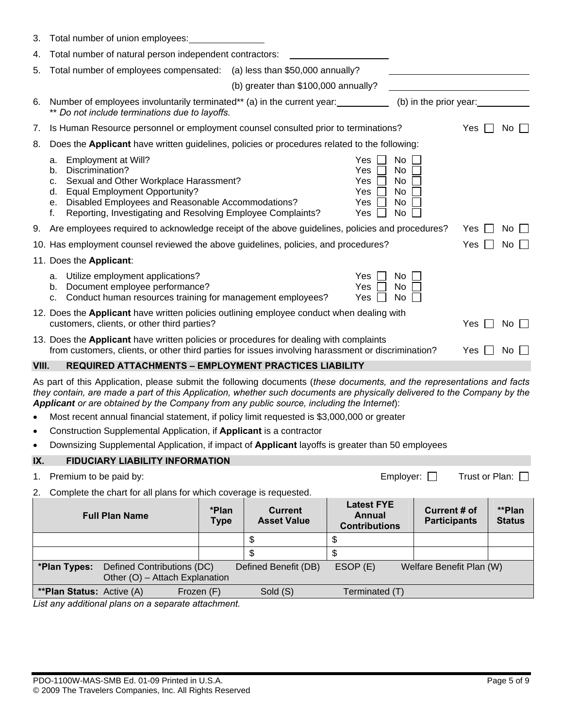| 3.        | Total number of union employees:                                                                                                                                                                                                                                                                                                                |                      |                                      |                                                                    |                                            |                  |                         |  |
|-----------|-------------------------------------------------------------------------------------------------------------------------------------------------------------------------------------------------------------------------------------------------------------------------------------------------------------------------------------------------|----------------------|--------------------------------------|--------------------------------------------------------------------|--------------------------------------------|------------------|-------------------------|--|
| 4.        | Total number of natural person independent contractors:                                                                                                                                                                                                                                                                                         |                      |                                      |                                                                    |                                            |                  |                         |  |
| 5.        | Total number of employees compensated: (a) less than \$50,000 annually?                                                                                                                                                                                                                                                                         |                      |                                      |                                                                    |                                            |                  |                         |  |
|           |                                                                                                                                                                                                                                                                                                                                                 |                      | (b) greater than \$100,000 annually? |                                                                    |                                            |                  |                         |  |
| 6.        | Number of employees involuntarily terminated** (a) in the current year:<br>** Do not include terminations due to layoffs.                                                                                                                                                                                                                       |                      |                                      |                                                                    | (b) in the prior year:                     |                  |                         |  |
| 7.        | Is Human Resource personnel or employment counsel consulted prior to terminations?                                                                                                                                                                                                                                                              |                      |                                      |                                                                    |                                            | Yes              | $No$ $\vert \ \vert$    |  |
| 8.        | Does the Applicant have written guidelines, policies or procedures related to the following:                                                                                                                                                                                                                                                    |                      |                                      |                                                                    |                                            |                  |                         |  |
|           | Employment at Will?<br>а.<br>Discrimination?<br>b.<br>Sexual and Other Workplace Harassment?<br>c.<br><b>Equal Employment Opportunity?</b><br>d.<br>Disabled Employees and Reasonable Accommodations?<br>е.<br>Reporting, Investigating and Resolving Employee Complaints?<br>f.                                                                |                      |                                      | <b>Yes</b><br><b>Yes</b><br><b>Yes</b><br>Yes<br><b>Yes</b><br>Yes | No<br>No<br>No<br>No<br>No<br>No           |                  |                         |  |
| 9.        | Are employees required to acknowledge receipt of the above guidelines, policies and procedures?                                                                                                                                                                                                                                                 |                      |                                      |                                                                    |                                            | Yes              | No.                     |  |
|           | 10. Has employment counsel reviewed the above guidelines, policies, and procedures?                                                                                                                                                                                                                                                             |                      |                                      |                                                                    |                                            | Yes              | No.                     |  |
|           | 11. Does the Applicant:                                                                                                                                                                                                                                                                                                                         |                      |                                      |                                                                    |                                            |                  |                         |  |
|           | Utilize employment applications?<br>а.<br>Document employee performance?<br>b.<br>Conduct human resources training for management employees?<br>c.                                                                                                                                                                                              |                      |                                      | Yes<br><b>Yes</b><br>Yes                                           | No.<br>No<br>No                            |                  |                         |  |
|           | 12. Does the Applicant have written policies outlining employee conduct when dealing with<br>customers, clients, or other third parties?                                                                                                                                                                                                        |                      |                                      |                                                                    |                                            | Yes I I          | $No$ $\Box$             |  |
|           | 13. Does the Applicant have written policies or procedures for dealing with complaints<br>from customers, clients, or other third parties for issues involving harassment or discrimination?                                                                                                                                                    |                      |                                      |                                                                    |                                            | Yes              | No                      |  |
| VIII.     | <b>REQUIRED ATTACHMENTS - EMPLOYMENT PRACTICES LIABILITY</b>                                                                                                                                                                                                                                                                                    |                      |                                      |                                                                    |                                            |                  |                         |  |
|           | As part of this Application, please submit the following documents (these documents, and the representations and facts<br>they contain, are made a part of this Application, whether such documents are physically delivered to the Company by the<br>Applicant or are obtained by the Company from any public source, including the Internet): |                      |                                      |                                                                    |                                            |                  |                         |  |
| $\bullet$ | Most recent annual financial statement, if policy limit requested is \$3,000,000 or greater                                                                                                                                                                                                                                                     |                      |                                      |                                                                    |                                            |                  |                         |  |
| $\bullet$ | Construction Supplemental Application, if Applicant is a contractor                                                                                                                                                                                                                                                                             |                      |                                      |                                                                    |                                            |                  |                         |  |
|           | Downsizing Supplemental Application, if impact of Applicant layoffs is greater than 50 employees                                                                                                                                                                                                                                                |                      |                                      |                                                                    |                                            |                  |                         |  |
| IX.       | <b>FIDUCIARY LIABILITY INFORMATION</b>                                                                                                                                                                                                                                                                                                          |                      |                                      |                                                                    |                                            |                  |                         |  |
| 1.        | Premium to be paid by:                                                                                                                                                                                                                                                                                                                          |                      |                                      |                                                                    | Employer: $\Box$                           | Trust or Plan: □ |                         |  |
| 2.        | Complete the chart for all plans for which coverage is requested.                                                                                                                                                                                                                                                                               |                      |                                      | <b>Latest FYE</b>                                                  |                                            |                  |                         |  |
|           | <b>Full Plan Name</b>                                                                                                                                                                                                                                                                                                                           | *Plan<br><b>Type</b> | <b>Current</b><br><b>Asset Value</b> | <b>Annual</b><br><b>Contributions</b>                              | <b>Current # of</b><br><b>Participants</b> |                  | **Plan<br><b>Status</b> |  |
|           |                                                                                                                                                                                                                                                                                                                                                 |                      | \$                                   | \$                                                                 |                                            |                  |                         |  |
|           |                                                                                                                                                                                                                                                                                                                                                 |                      | \$                                   | \$                                                                 |                                            |                  |                         |  |
|           | *Plan Types:<br>Defined Contributions (DC)<br>Other (O) - Attach Explanation                                                                                                                                                                                                                                                                    |                      | Defined Benefit (DB)                 | ESOP (E)                                                           | Welfare Benefit Plan (W)                   |                  |                         |  |
|           | <b>**Plan Status:</b> Active (A)<br>Frozen (F)                                                                                                                                                                                                                                                                                                  |                      | Sold (S)                             | Terminated (T)                                                     |                                            |                  |                         |  |
|           | List any additional plans on a separate attachment.                                                                                                                                                                                                                                                                                             |                      |                                      |                                                                    |                                            |                  |                         |  |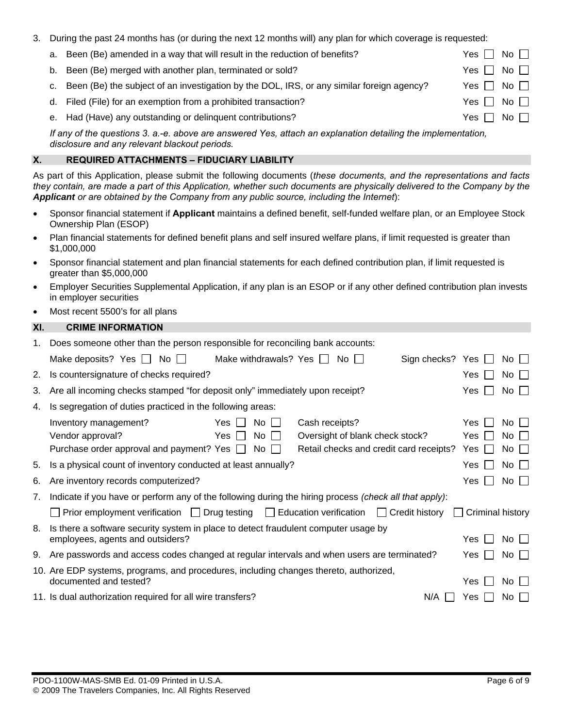|  | 3. During the past 24 months has (or during the next 12 months will) any plan for which coverage is requested: |
|--|----------------------------------------------------------------------------------------------------------------|
|  |                                                                                                                |

| a. | Been (Be) amended in a way that will result in the reduction of benefits?                    | $No \ \overline{\phantom{a}}$<br>Yes I                 |
|----|----------------------------------------------------------------------------------------------|--------------------------------------------------------|
| b. | Been (Be) merged with another plan, terminated or sold?                                      | No <sub>1</sub><br>Yes I                               |
|    | c. Been (Be) the subject of an investigation by the DOL, IRS, or any similar foreign agency? | $No \ \overline{\phantom{a}}$<br>$Yes$ $\vert$ $\vert$ |
|    | d. Filed (File) for an exemption from a prohibited transaction?                              | No <sub>1</sub><br>Yes I                               |
|    | e. Had (Have) any outstanding or delinquent contributions?                                   | $No$ $\Box$<br>Yes l                                   |

*If any of the questions 3. a.-e. above are answered Yes, attach an explanation detailing the implementation, disclosure and any relevant blackout periods.* 

# **X. REQUIRED ATTACHMENTS – FIDUCIARY LIABILITY**

As part of this Application, please submit the following documents (*these documents, and the representations and facts they contain, are made a part of this Application, whether such documents are physically delivered to the Company by the Applicant or are obtained by the Company from any public source, including the Internet*):

- Sponsor financial statement if **Applicant** maintains a defined benefit, self-funded welfare plan, or an Employee Stock Ownership Plan (ESOP)
- Plan financial statements for defined benefit plans and self insured welfare plans, if limit requested is greater than \$1,000,000
- Sponsor financial statement and plan financial statements for each defined contribution plan, if limit requested is greater than \$5,000,000
- Employer Securities Supplemental Application, if any plan is an ESOP or if any other defined contribution plan invests in employer securities
- Most recent 5500's for all plans

# **XI. CRIME INFORMATION**

| $1_{\cdot}$                                                                           | Does someone other than the person responsible for reconciling bank accounts:                          |                                         |                         |             |                    |  |
|---------------------------------------------------------------------------------------|--------------------------------------------------------------------------------------------------------|-----------------------------------------|-------------------------|-------------|--------------------|--|
|                                                                                       | Make withdrawals? Yes $\Box$<br>Make deposits? Yes $\Box$ No $\Box$                                    | $No$ $\vert \ \vert$                    | Sign checks? Yes $\Box$ |             | $No$ $\Box$        |  |
| 2.                                                                                    | Is countersignature of checks required?                                                                |                                         |                         | Yes         | $No$ $\Box$        |  |
| 3.                                                                                    | Are all incoming checks stamped "for deposit only" immediately upon receipt?                           |                                         | Yes                     | $No$ $\Box$ |                    |  |
| 4.                                                                                    | Is segregation of duties practiced in the following areas:                                             |                                         |                         |             |                    |  |
|                                                                                       | Yes  <br>Inventory management?<br>No.                                                                  | Cash receipts?                          |                         | Yes.        | No II              |  |
|                                                                                       | Vendor approval?<br>No<br>Yes                                                                          | Oversight of blank check stock?         |                         | Yes         | $No \Box$          |  |
|                                                                                       | Purchase order approval and payment? Yes $\Box$<br>No.                                                 | Retail checks and credit card receipts? |                         | Yes         | $No$ $\vert \vert$ |  |
| 5.                                                                                    | Is a physical count of inventory conducted at least annually?                                          |                                         |                         | Yes         | $No$ $\Box$        |  |
| 6.                                                                                    | Are inventory records computerized?                                                                    |                                         | Yes.                    | $No$        |                    |  |
| 7.                                                                                    | Indicate if you have or perform any of the following during the hiring process (check all that apply): |                                         |                         |             |                    |  |
|                                                                                       | Prior employment verification $\Box$ Drug testing $\Box$ Education verification $\Box$ Credit history  |                                         | Criminal history        |             |                    |  |
| 8.                                                                                    | Is there a software security system in place to detect fraudulent computer usage by                    |                                         |                         |             |                    |  |
|                                                                                       | employees, agents and outsiders?                                                                       |                                         |                         | Yes.        | $No$ $\Box$        |  |
| 9.                                                                                    | Are passwords and access codes changed at regular intervals and when users are terminated?             |                                         | Yes                     | $No$ $\Box$ |                    |  |
| 10. Are EDP systems, programs, and procedures, including changes thereto, authorized, |                                                                                                        |                                         |                         |             |                    |  |
|                                                                                       | documented and tested?                                                                                 |                                         |                         | Yes         | No II              |  |
|                                                                                       | 11. Is dual authorization required for all wire transfers?                                             |                                         | N/A                     | Yes         | No I               |  |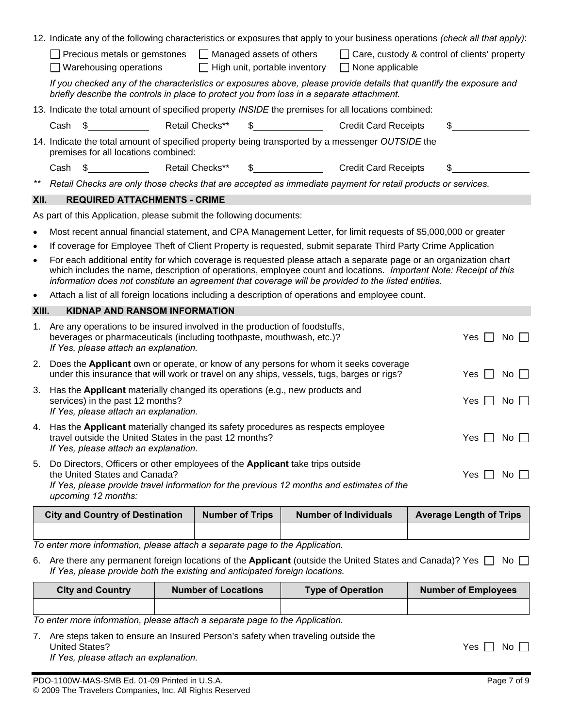|           | 12. Indicate any of the following characteristics or exposures that apply to your business operations (check all that apply):                                                                                                                                                                                                                 |                        |                                             |                                               |  |  |  |  |
|-----------|-----------------------------------------------------------------------------------------------------------------------------------------------------------------------------------------------------------------------------------------------------------------------------------------------------------------------------------------------|------------------------|---------------------------------------------|-----------------------------------------------|--|--|--|--|
|           | Managed assets of others<br>□ Care, custody & control of clients' property<br>Precious metals or gemstones<br>Warehousing operations<br>High unit, portable inventory<br>$\Box$ None applicable                                                                                                                                               |                        |                                             |                                               |  |  |  |  |
|           | If you checked any of the characteristics or exposures above, please provide details that quantify the exposure and<br>briefly describe the controls in place to protect you from loss in a separate attachment.                                                                                                                              |                        |                                             |                                               |  |  |  |  |
|           | 13. Indicate the total amount of specified property INSIDE the premises for all locations combined:                                                                                                                                                                                                                                           |                        |                                             |                                               |  |  |  |  |
|           | Cash<br>- \$                                                                                                                                                                                                                                                                                                                                  | Retail Checks**        | $\mathbb{S}$<br><b>Credit Card Receipts</b> | \$                                            |  |  |  |  |
|           | 14. Indicate the total amount of specified property being transported by a messenger OUTSIDE the<br>premises for all locations combined:                                                                                                                                                                                                      |                        |                                             |                                               |  |  |  |  |
|           | $\frac{1}{2}$<br>Cash                                                                                                                                                                                                                                                                                                                         | Retail Checks**<br>S.  | <b>Credit Card Receipts</b>                 |                                               |  |  |  |  |
| $***$     | Retail Checks are only those checks that are accepted as immediate payment for retail products or services.                                                                                                                                                                                                                                   |                        |                                             |                                               |  |  |  |  |
| XII.      | <b>REQUIRED ATTACHMENTS - CRIME</b>                                                                                                                                                                                                                                                                                                           |                        |                                             |                                               |  |  |  |  |
|           | As part of this Application, please submit the following documents:                                                                                                                                                                                                                                                                           |                        |                                             |                                               |  |  |  |  |
| $\bullet$ | Most recent annual financial statement, and CPA Management Letter, for limit requests of \$5,000,000 or greater                                                                                                                                                                                                                               |                        |                                             |                                               |  |  |  |  |
| $\bullet$ | If coverage for Employee Theft of Client Property is requested, submit separate Third Party Crime Application                                                                                                                                                                                                                                 |                        |                                             |                                               |  |  |  |  |
| $\bullet$ | For each additional entity for which coverage is requested please attach a separate page or an organization chart<br>which includes the name, description of operations, employee count and locations. Important Note: Receipt of this<br>information does not constitute an agreement that coverage will be provided to the listed entities. |                        |                                             |                                               |  |  |  |  |
| $\bullet$ | Attach a list of all foreign locations including a description of operations and employee count.                                                                                                                                                                                                                                              |                        |                                             |                                               |  |  |  |  |
|           | <b>KIDNAP AND RANSOM INFORMATION</b><br>XIII.                                                                                                                                                                                                                                                                                                 |                        |                                             |                                               |  |  |  |  |
| 1.        | Are any operations to be insured involved in the production of foodstuffs,<br>beverages or pharmaceuticals (including toothpaste, mouthwash, etc.)?<br>$No$ $\Box$<br>Yes I<br>$\blacksquare$<br>If Yes, please attach an explanation.                                                                                                        |                        |                                             |                                               |  |  |  |  |
|           |                                                                                                                                                                                                                                                                                                                                               |                        |                                             |                                               |  |  |  |  |
| 2.        | Does the Applicant own or operate, or know of any persons for whom it seeks coverage<br>under this insurance that will work or travel on any ships, vessels, tugs, barges or rigs?                                                                                                                                                            |                        |                                             | Yes $\Box$<br>No $\Box$                       |  |  |  |  |
| 3.        | Has the Applicant materially changed its operations (e.g., new products and<br>services) in the past 12 months?                                                                                                                                                                                                                               |                        |                                             | Yes I<br>$\mathsf{No} \ \mathsf{\sqsubseteq}$ |  |  |  |  |
| 4.        | If Yes, please attach an explanation.<br>Has the Applicant materially changed its safety procedures as respects employee<br>travel outside the United States in the past 12 months?<br>If Yes, please attach an explanation.                                                                                                                  |                        |                                             | Yes $\Box$<br>No                              |  |  |  |  |
| 5.        | Do Directors, Officers or other employees of the <b>Applicant</b> take trips outside<br>the United States and Canada?<br>If Yes, please provide travel information for the previous 12 months and estimates of the<br>upcoming 12 months:                                                                                                     |                        |                                             | Yes $  \,  $<br>No $\Box$                     |  |  |  |  |
|           | <b>City and Country of Destination</b>                                                                                                                                                                                                                                                                                                        | <b>Number of Trips</b> | <b>Number of Individuals</b>                | <b>Average Length of Trips</b>                |  |  |  |  |

*To enter more information, please attach a separate page to the Application.*

6. Are there any permanent foreign locations of the Applicant (outside the United States and Canada)? Yes  $\Box$  No  $\Box$ *If Yes, please provide both the existing and anticipated foreign locations.*

| <b>City and Country</b> | <b>Number of Locations</b> | <b>Type of Operation</b> | <b>Number of Employees</b> |
|-------------------------|----------------------------|--------------------------|----------------------------|
|                         |                            |                          |                            |
|                         |                            | .                        |                            |

*To enter more information, please attach a separate page to the Application.* 

7. Are steps taken to ensure an Insured Person's safety when traveling outside the United States? No Decision of the States? *If Yes, please attach an explanation.*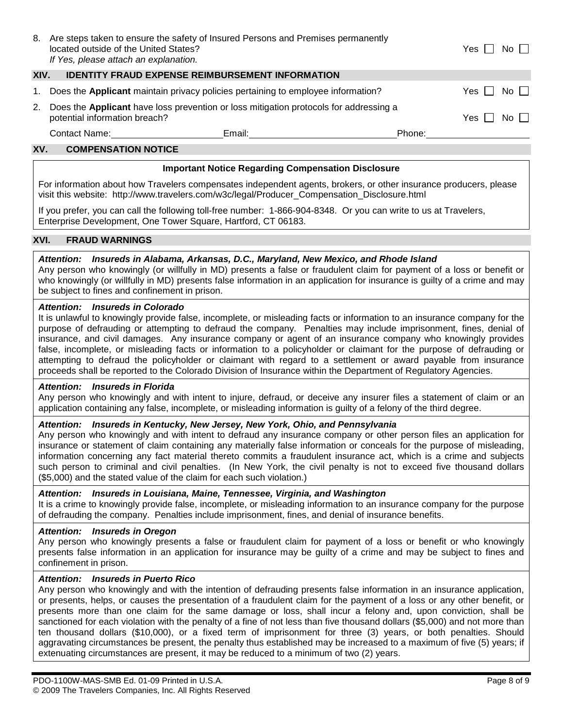| 8.  | located outside of the United States?<br>If Yes, please attach an explanation.                                         | Are steps taken to ensure the safety of Insured Persons and Premises permanently                                                                                                                                               |                                                                                                                                                                                                                                | Yes | No II       |  |  |  |
|-----|------------------------------------------------------------------------------------------------------------------------|--------------------------------------------------------------------------------------------------------------------------------------------------------------------------------------------------------------------------------|--------------------------------------------------------------------------------------------------------------------------------------------------------------------------------------------------------------------------------|-----|-------------|--|--|--|
|     | XIV.<br><b>IDENTITY FRAUD EXPENSE REIMBURSEMENT INFORMATION</b>                                                        |                                                                                                                                                                                                                                |                                                                                                                                                                                                                                |     |             |  |  |  |
| 1.  | Does the Applicant maintain privacy policies pertaining to employee information?                                       |                                                                                                                                                                                                                                |                                                                                                                                                                                                                                |     | No II       |  |  |  |
| 2.  | Does the Applicant have loss prevention or loss mitigation protocols for addressing a<br>potential information breach? |                                                                                                                                                                                                                                |                                                                                                                                                                                                                                |     | $No$ $\Box$ |  |  |  |
|     | Contact Name: The Contact Name:                                                                                        | Email: Email: Email: Email: Email: Email: Email: Email: Email: Email: Email: Email: Email: Email: Email: Email: Email: Email: Email: Email: Email: Email: Email: Email: Email: Email: Email: Email: Email: Email: Email: Email | Phone: the contract of the contract of the contract of the contract of the contract of the contract of the contract of the contract of the contract of the contract of the contract of the contract of the contract of the con |     |             |  |  |  |
| XV. | <b>COMPENSATION NOTICE</b>                                                                                             |                                                                                                                                                                                                                                |                                                                                                                                                                                                                                |     |             |  |  |  |

### **Important Notice Regarding Compensation Disclosure**

For information about how Travelers compensates independent agents, brokers, or other insurance producers, please visit this website: [http://www.travelers.com/w3c/legal/Producer\\_Compensation\\_Disclosure.html](http://www.travelers.com/w3c/legal/Producer_Compensation_Disclosure.html) 

If you prefer, you can call the following toll-free number: 1-866-904-8348. Or you can write to us at Travelers, Enterprise Development, One Tower Square, Hartford, CT 06183.

### **XVI. FRAUD WARNINGS**

### *Attention: Insureds in Alabama, Arkansas, D.C., Maryland, New Mexico, and Rhode Island*

Any person who knowingly (or willfully in MD) presents a false or fraudulent claim for payment of a loss or benefit or who knowingly (or willfully in MD) presents false information in an application for insurance is guilty of a crime and may be subject to fines and confinement in prison.

#### *Attention: Insureds in Colorado*

It is unlawful to knowingly provide false, incomplete, or misleading facts or information to an insurance company for the purpose of defrauding or attempting to defraud the company. Penalties may include imprisonment, fines, denial of insurance, and civil damages. Any insurance company or agent of an insurance company who knowingly provides false, incomplete, or misleading facts or information to a policyholder or claimant for the purpose of defrauding or attempting to defraud the policyholder or claimant with regard to a settlement or award payable from insurance proceeds shall be reported to the Colorado Division of Insurance within the Department of Regulatory Agencies.

#### *Attention: Insureds in Florida*

Any person who knowingly and with intent to injure, defraud, or deceive any insurer files a statement of claim or an application containing any false, incomplete, or misleading information is guilty of a felony of the third degree.

## *Attention: Insureds in Kentucky, New Jersey, New York, Ohio, and Pennsylvania*

Any person who knowingly and with intent to defraud any insurance company or other person files an application for insurance or statement of claim containing any materially false information or conceals for the purpose of misleading, information concerning any fact material thereto commits a fraudulent insurance act, which is a crime and subjects such person to criminal and civil penalties. (In New York, the civil penalty is not to exceed five thousand dollars (\$5,000) and the stated value of the claim for each such violation.)

#### *Attention: Insureds in Louisiana, Maine, Tennessee, Virginia, and Washington*

It is a crime to knowingly provide false, incomplete, or misleading information to an insurance company for the purpose of defrauding the company. Penalties include imprisonment, fines, and denial of insurance benefits.

#### *Attention: Insureds in Oregon*

Any person who knowingly presents a false or fraudulent claim for payment of a loss or benefit or who knowingly presents false information in an application for insurance may be guilty of a crime and may be subject to fines and confinement in prison.

#### *Attention: Insureds in Puerto Rico*

Any person who knowingly and with the intention of defrauding presents false information in an insurance application, or presents, helps, or causes the presentation of a fraudulent claim for the payment of a loss or any other benefit, or presents more than one claim for the same damage or loss, shall incur a felony and, upon conviction, shall be sanctioned for each violation with the penalty of a fine of not less than five thousand dollars (\$5,000) and not more than ten thousand dollars (\$10,000), or a fixed term of imprisonment for three (3) years, or both penalties. Should aggravating circumstances be present, the penalty thus established may be increased to a maximum of five (5) years; if extenuating circumstances are present, it may be reduced to a minimum of two (2) years.